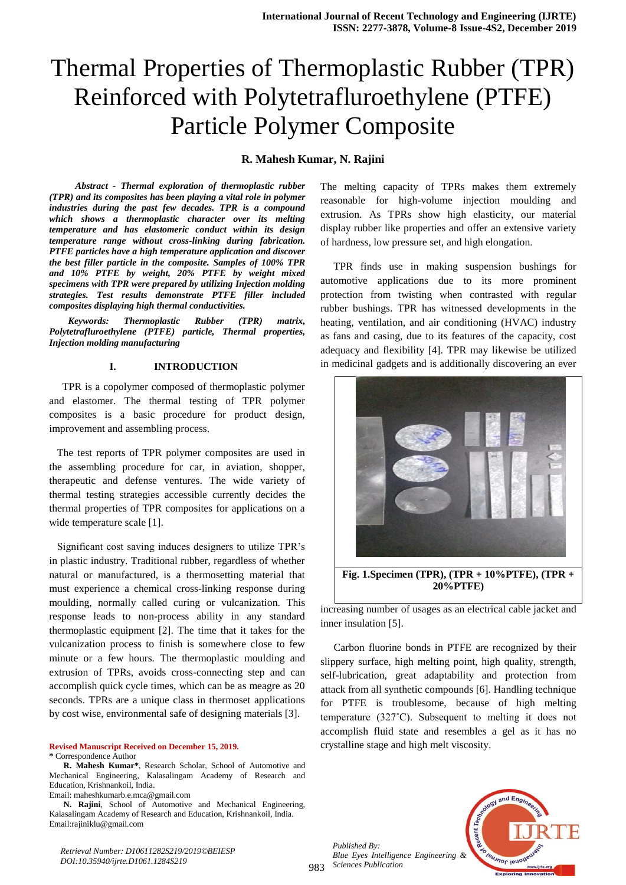# Thermal Properties of Thermoplastic Rubber (TPR) Reinforced with Polytetrafluroethylene (PTFE) Particle Polymer Composite

#### **R. Mahesh Kumar, N. Rajini**

 *Abstract - Thermal exploration of thermoplastic rubber (TPR) and its composites has been playing a vital role in polymer industries during the past few decades. TPR is a compound which shows a thermoplastic character over its melting temperature and has elastomeric conduct within its design temperature range without cross-linking during fabrication. PTFE particles have a high temperature application and discover the best filler particle in the composite. Samples of 100% TPR and 10% PTFE by weight, 20% PTFE by weight mixed specimens with TPR were prepared by utilizing Injection molding strategies. Test results demonstrate PTFE filler included composites displaying high thermal conductivities.* 

*Keywords: Thermoplastic Rubber (TPR) matrix, Polytetrafluroethylene (PTFE) particle, Thermal properties, Injection molding manufacturing*

#### **I. INTRODUCTION**

 TPR is a copolymer composed of thermoplastic polymer and elastomer. The thermal testing of TPR polymer composites is a basic procedure for product design, improvement and assembling process.

 The test reports of TPR polymer composites are used in the assembling procedure for car, in aviation, shopper, therapeutic and defense ventures. The wide variety of thermal testing strategies accessible currently decides the thermal properties of TPR composites for applications on a wide temperature scale [1].

 Significant cost saving induces designers to utilize TPR"s in plastic industry. Traditional rubber, regardless of whether natural or manufactured, is a thermosetting material that must experience a chemical cross-linking response during moulding, normally called curing or vulcanization. This response leads to non-process ability in any standard thermoplastic equipment [2]. The time that it takes for the vulcanization process to finish is somewhere close to few minute or a few hours. The thermoplastic moulding and extrusion of TPRs, avoids cross-connecting step and can accomplish quick cycle times, which can be as meagre as 20 seconds. TPRs are a unique class in thermoset applications by cost wise, environmental safe of designing materials [3].

**Revised Manuscript Received on December 15, 2019. \*** Correspondence Author

**R. Mahesh Kumar\***, Research Scholar, School of Automotive and Mechanical Engineering, Kalasalingam Academy of Research and Education, Krishnankoil, India.

Email: maheshkumarb.e.mca@gmail.com

**N. Rajini**, School of Automotive and Mechanical Engineering, Kalasalingam Academy of Research and Education, Krishnankoil, India. Email:rajiniklu@gmail.com

*Retrieval Number: D10611282S219/2019©BEIESP DOI:10.35940/ijrte.D1061.1284S219*

The melting capacity of TPRs makes them extremely reasonable for high-volume injection moulding and extrusion. As TPRs show high elasticity, our material display rubber like properties and offer an extensive variety of hardness, low pressure set, and high elongation.

 TPR finds use in making suspension bushings for automotive applications due to its more prominent protection from twisting when contrasted with regular rubber bushings. TPR has witnessed developments in the heating, ventilation, and air conditioning (HVAC) industry as fans and casing, due to its features of the capacity, cost adequacy and flexibility [4]. TPR may likewise be utilized in medicinal gadgets and is additionally discovering an ever



increasing number of usages as an electrical cable jacket and inner insulation [5].

 Carbon fluorine bonds in PTFE are recognized by their slippery surface, high melting point, high quality, strength, self-lubrication, great adaptability and protection from attack from all synthetic compounds [6]. Handling technique for PTFE is troublesome, because of high melting temperature (327˚C). Subsequent to melting it does not accomplish fluid state and resembles a gel as it has no crystalline stage and high melt viscosity.

983 *Sciences Publication Published By: Blue Eyes Intelligence Engineering &* 

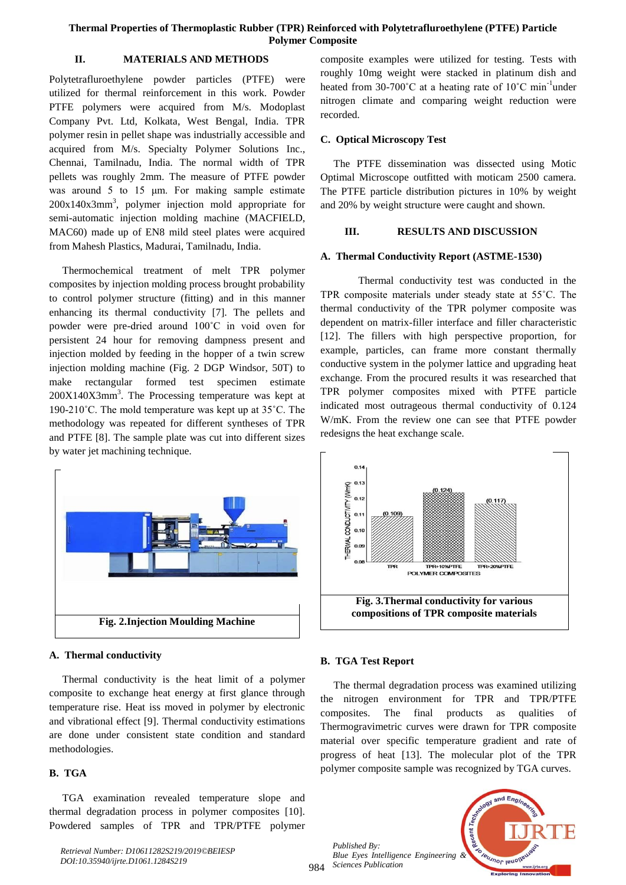## **Thermal Properties of Thermoplastic Rubber (TPR) Reinforced with Polytetrafluroethylene (PTFE) Particle Polymer Composite**

## **II. MATERIALS AND METHODS**

Polytetrafluroethylene powder particles (PTFE) were utilized for thermal reinforcement in this work. Powder PTFE polymers were acquired from M/s. Modoplast Company Pvt. Ltd, Kolkata, West Bengal, India. TPR polymer resin in pellet shape was industrially accessible and acquired from M/s. Specialty Polymer Solutions Inc., Chennai, Tamilnadu, India. The normal width of TPR pellets was roughly 2mm. The measure of PTFE powder was around 5 to 15 um. For making sample estimate  $200x140x3mm^3$ , polymer injection mold appropriate for semi-automatic injection molding machine (MACFIELD, MAC60) made up of EN8 mild steel plates were acquired from Mahesh Plastics, Madurai, Tamilnadu, India.

 Thermochemical treatment of melt TPR polymer composites by injection molding process brought probability to control polymer structure (fitting) and in this manner enhancing its thermal conductivity [7]. The pellets and powder were pre-dried around 100˚C in void oven for persistent 24 hour for removing dampness present and injection molded by feeding in the hopper of a twin screw injection molding machine (Fig. 2 DGP Windsor, 50T) to make rectangular formed test specimen estimate  $200X140X3mm<sup>3</sup>$ . The Processing temperature was kept at 190-210˚C. The mold temperature was kept up at 35˚C. The methodology was repeated for different syntheses of TPR and PTFE [8]. The sample plate was cut into different sizes by water jet machining technique.



# **A. Thermal conductivity**

 Thermal conductivity is the heat limit of a polymer composite to exchange heat energy at first glance through temperature rise. Heat iss moved in polymer by electronic and vibrational effect [9]. Thermal conductivity estimations are done under consistent state condition and standard methodologies.

# **B. TGA**

 TGA examination revealed temperature slope and thermal degradation process in polymer composites [10]. Powdered samples of TPR and TPR/PTFE polymer

*Retrieval Number: D10611282S219/2019©BEIESP DOI:10.35940/ijrte.D1061.1284S219*

composite examples were utilized for testing. Tests with roughly 10mg weight were stacked in platinum dish and heated from 30-700 $^{\circ}$ C at a heating rate of 10 $^{\circ}$ C min<sup>-1</sup>under nitrogen climate and comparing weight reduction were recorded.

# **C. Optical Microscopy Test**

 The PTFE dissemination was dissected using Motic Optimal Microscope outfitted with moticam 2500 camera. The PTFE particle distribution pictures in 10% by weight and 20% by weight structure were caught and shown.

## **III. RESULTS AND DISCUSSION**

## **A. Thermal Conductivity Report (ASTME-1530)**

Thermal conductivity test was conducted in the TPR composite materials under steady state at 55˚C. The thermal conductivity of the TPR polymer composite was dependent on matrix-filler interface and filler characteristic [12]. The fillers with high perspective proportion, for example, particles, can frame more constant thermally conductive system in the polymer lattice and upgrading heat exchange. From the procured results it was researched that TPR polymer composites mixed with PTFE particle indicated most outrageous thermal conductivity of 0.124 W/mK. From the review one can see that PTFE powder redesigns the heat exchange scale.



# **B. TGA Test Report**

 The thermal degradation process was examined utilizing the nitrogen environment for TPR and TPR/PTFE composites. The final products as qualities of Thermogravimetric curves were drawn for TPR composite material over specific temperature gradient and rate of progress of heat [13]. The molecular plot of the TPR polymer composite sample was recognized by TGA curves.

984 *Sciences Publication Published By: Blue Eyes Intelligence Engineering &* 

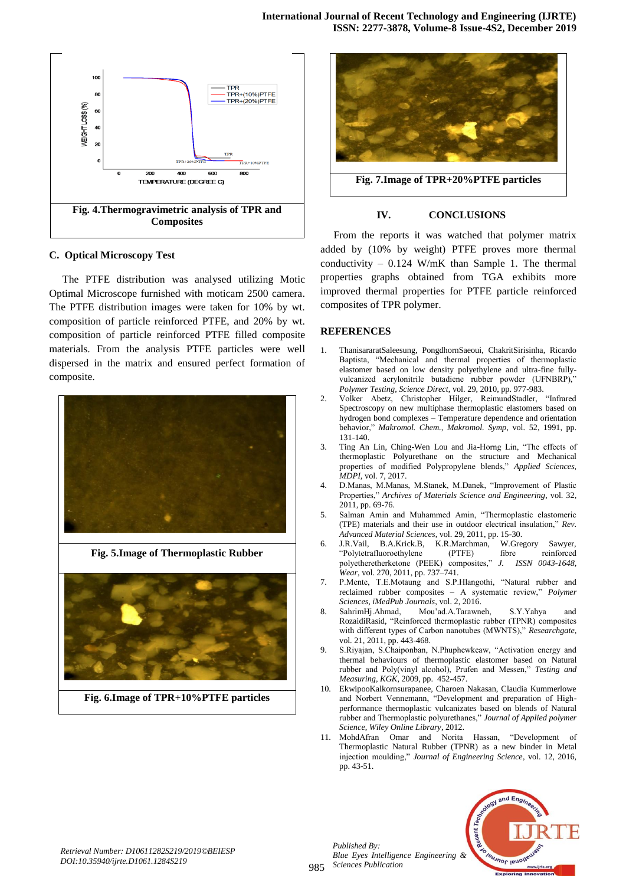

#### **C. Optical Microscopy Test**

 The PTFE distribution was analysed utilizing Motic Optimal Microscope furnished with moticam 2500 camera. The PTFE distribution images were taken for 10% by wt. composition of particle reinforced PTFE, and 20% by wt. composition of particle reinforced PTFE filled composite materials. From the analysis PTFE particles were well dispersed in the matrix and ensured perfect formation of composite.



**Fig. 5.Image of Thermoplastic Rubber**



**Fig. 6.Image of TPR+10%PTFE particles**



#### **IV. CONCLUSIONS**

 From the reports it was watched that polymer matrix added by (10% by weight) PTFE proves more thermal conductivity – 0.124 W/mK than Sample 1. The thermal properties graphs obtained from TGA exhibits more improved thermal properties for PTFE particle reinforced composites of TPR polymer.

#### **REFERENCES**

- 1. ThanisararatSaleesung, PongdhornSaeoui, ChakritSirisinha, Ricardo Baptista, "Mechanical and thermal properties of thermoplastic elastomer based on low density polyethylene and ultra-fine fullyvulcanized acrylonitrile butadiene rubber powder (UFNBRP),' *Polymer Testing, Science Direct*, vol. 29, 2010, pp. 977-983.
- 2. Volker Abetz, Christopher Hilger, ReimundStadler, "Infrared Spectroscopy on new multiphase thermoplastic elastomers based on hydrogen bond complexes – Temperature dependence and orientation behavior," *Makromol. Chem., Makromol. Symp*, vol. 52, 1991, pp. 131-140.
- 3. Ting An Lin, Ching-Wen Lou and Jia-Horng Lin, "The effects of thermoplastic Polyurethane on the structure and Mechanical properties of modified Polypropylene blends," *Applied Sciences, MDPI*, vol. 7, 2017.
- 4. D.Manas, M.Manas, M.Stanek, M.Danek, "Improvement of Plastic Properties," *Archives of Materials Science and Engineering*, vol. 32, 2011, pp. 69-76.
- 5. Salman Amin and Muhammed Amin, "Thermoplastic elastomeric (TPE) materials and their use in outdoor electrical insulation," *Rev. Advanced Material Sciences*, vol. 29, 2011, pp. 15-30.
- 6. J.R.Vail, B.A.Krick.B, K.R.Marchman, W.Gregory Sawyer, "Polytetrafluoroethylene (PTFE) fibre reinforced polyetheretherketone (PEEK) composites," *J. ISSN 0043-1648, Wear*, vol. 270, 2011, pp. 737–741.
- 7. P.Mente, T.E.Motaung and S.P.Hlangothi, "Natural rubber and reclaimed rubber composites – A systematic review," *Polymer Sciences, iMedPub Journals*, vol. 2, 2016.
- 8. SahrimHj.Ahmad, Mou"ad.A.Tarawneh, S.Y.Yahya and RozaidiRasid, "Reinforced thermoplastic rubber (TPNR) composites with different types of Carbon nanotubes (MWNTS)," *Researchgate*, vol. 21, 2011, pp. 443-468.
- 9. S.Riyajan, S.Chaiponban, N.Phuphewkeaw, "Activation energy and thermal behaviours of thermoplastic elastomer based on Natural rubber and Poly(vinyl alcohol), Prufen and Messen," *Testing and Measuring, KGK*, 2009, pp. 452-457.
- 10. EkwipooKalkornsurapanee, Charoen Nakasan, Claudia Kummerlowe and Norbert Vennemann, "Development and preparation of Highperformance thermoplastic vulcanizates based on blends of Natural rubber and Thermoplastic polyurethanes," *Journal of Applied polymer Science, Wiley Online Library*, 2012.
- 11. MohdAfran Omar and Norita Hassan, "Development of Thermoplastic Natural Rubber (TPNR) as a new binder in Metal injection moulding," *Journal of Engineering Science*, vol. 12, 2016, pp. 43-51.